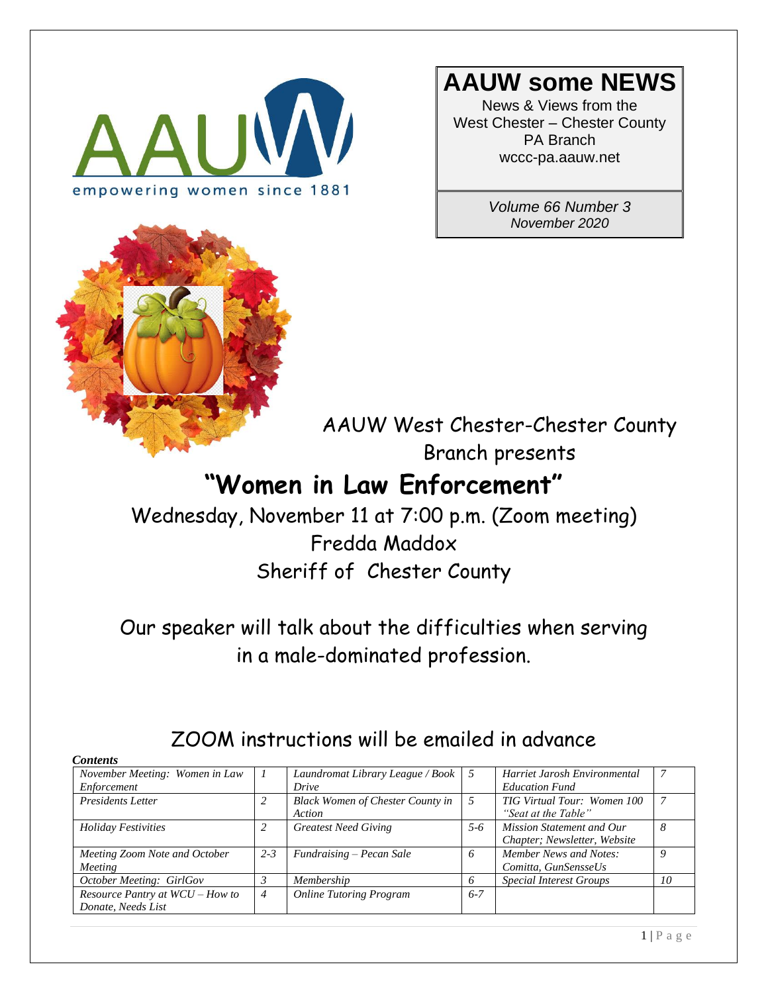



# **AAUW some NEWS**

News & Views from the West Chester – Chester County PA Branch wccc-pa.aauw.net

> *Volume 66 Number 3 November 2020*

AAUW West Chester-Chester County Branch presents

# **"Women in Law Enforcement"**

Wednesday, November 11 at 7:00 p.m. (Zoom meeting) Fredda Maddox Sheriff of Chester County

Our speaker will talk about the difficulties when serving in a male-dominated profession.

| <b>Contents</b>                                     |         |                                                  |         |                                |    |
|-----------------------------------------------------|---------|--------------------------------------------------|---------|--------------------------------|----|
| November Meeting: Women in Law                      |         | Laundromat Library League / Book $\vert 5 \vert$ |         | Harriet Jarosh Environmental   |    |
| Enforcement                                         |         | Drive                                            |         | <b>Education Fund</b>          |    |
| <b>Presidents Letter</b>                            |         | <b>Black Women of Chester County in</b>          | 5       | TIG Virtual Tour: Women 100    |    |
|                                                     |         | Action                                           |         | "Seat at the Table"            |    |
| <b>Holiday Festivities</b>                          | 2       | <b>Greatest Need Giving</b>                      | $5-6$   | Mission Statement and Our      | 8  |
|                                                     |         |                                                  |         | Chapter; Newsletter, Website   |    |
| Meeting Zoom Note and October                       | $2 - 3$ | Fundraising - Pecan Sale                         | 6       | Member News and Notes:         | Q  |
| Meeting                                             |         |                                                  |         | Comitta, GunSensseUs           |    |
| October Meeting: GirlGov                            |         | Membership                                       | 6       | <b>Special Interest Groups</b> | 10 |
| <i>Resource Pantry at <math>WCU - How</math> to</i> | 4       | <b>Online Tutoring Program</b>                   | $6 - 7$ |                                |    |
| Donate, Needs List                                  |         |                                                  |         |                                |    |

# ZOOM instructions will be emailed in advance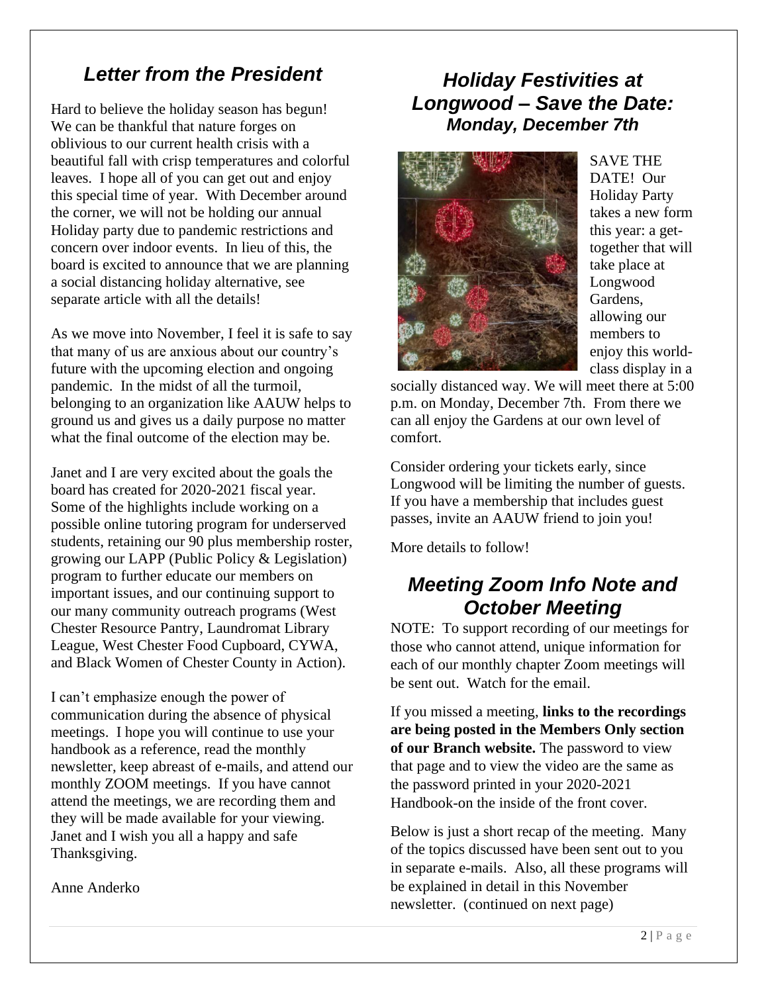## *Letter from the President*

Hard to believe the holiday season has begun! We can be thankful that nature forges on oblivious to our current health crisis with a beautiful fall with crisp temperatures and colorful leaves. I hope all of you can get out and enjoy this special time of year. With December around the corner, we will not be holding our annual Holiday party due to pandemic restrictions and concern over indoor events. In lieu of this, the board is excited to announce that we are planning a social distancing holiday alternative, see separate article with all the details!

As we move into November, I feel it is safe to say that many of us are anxious about our country's future with the upcoming election and ongoing pandemic. In the midst of all the turmoil, belonging to an organization like AAUW helps to ground us and gives us a daily purpose no matter what the final outcome of the election may be.

Janet and I are very excited about the goals the board has created for 2020-2021 fiscal year. Some of the highlights include working on a possible online tutoring program for underserved students, retaining our 90 plus membership roster, growing our LAPP (Public Policy & Legislation) program to further educate our members on important issues, and our continuing support to our many community outreach programs (West Chester Resource Pantry, Laundromat Library League, West Chester Food Cupboard, CYWA, and Black Women of Chester County in Action).

I can't emphasize enough the power of communication during the absence of physical meetings. I hope you will continue to use your handbook as a reference, read the monthly newsletter, keep abreast of e-mails, and attend our monthly ZOOM meetings. If you have cannot attend the meetings, we are recording them and they will be made available for your viewing. Janet and I wish you all a happy and safe Thanksgiving.

Anne Anderko

## *Holiday Festivities at Longwood – Save the Date: Monday, December 7th*



SAVE THE DATE! Our Holiday Party takes a new form this year: a gettogether that will take place at Longwood Gardens, allowing our members to enjoy this worldclass display in a

socially distanced way. We will meet there at 5:00 p.m. on Monday, December 7th. From there we can all enjoy the Gardens at our own level of comfort.

Consider ordering your tickets early, since Longwood will be limiting the number of guests. If you have a membership that includes guest passes, invite an AAUW friend to join you!

More details to follow!

# *Meeting Zoom Info Note and October Meeting*

NOTE: To support recording of our meetings for those who cannot attend, unique information for each of our monthly chapter Zoom meetings will be sent out. Watch for the email.

If you missed a meeting, **links to the recordings are being posted in the Members Only section of our Branch website.** The password to view that page and to view the video are the same as the password printed in your 2020-2021 Handbook-on the inside of the front cover.

Below is just a short recap of the meeting. Many of the topics discussed have been sent out to you in separate e-mails. Also, all these programs will be explained in detail in this November newsletter. (continued on next page)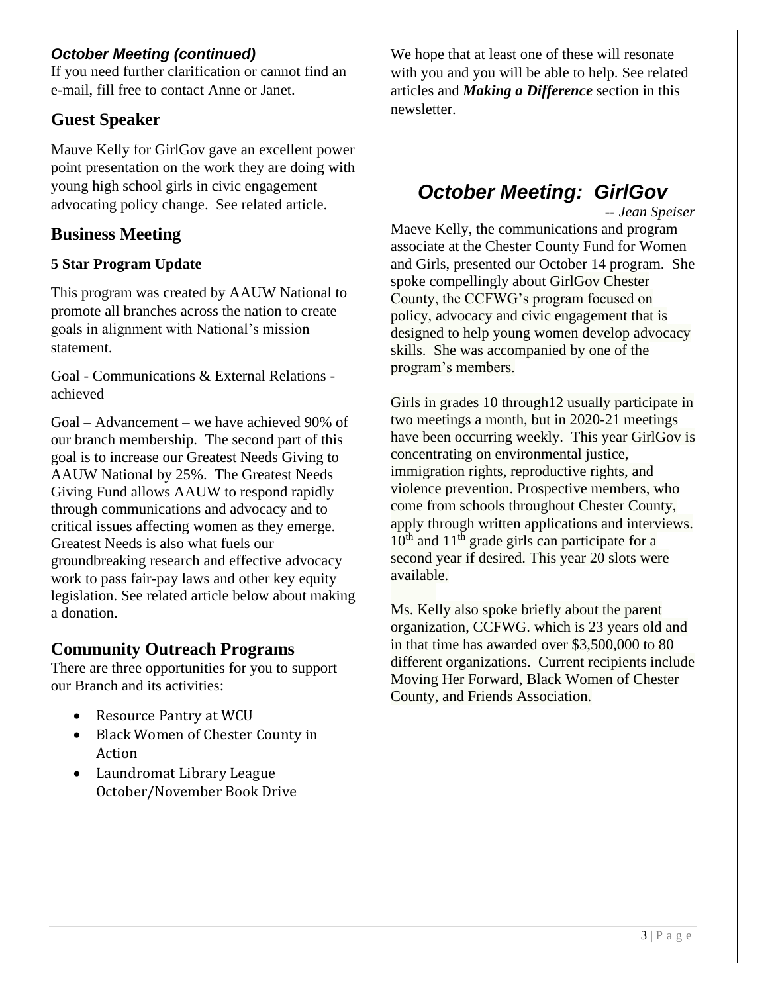### *October Meeting (continued)*

If you need further clarification or cannot find an e-mail, fill free to contact Anne or Janet.

## **Guest Speaker**

Mauve Kelly for GirlGov gave an excellent power point presentation on the work they are doing with young high school girls in civic engagement advocating policy change. See related article.

## **Business Meeting**

### **5 Star Program Update**

This program was created by AAUW National to promote all branches across the nation to create goals in alignment with National's mission statement.

Goal - Communications & External Relations achieved

Goal – Advancement – we have achieved 90% of our branch membership. The second part of this goal is to increase our Greatest Needs Giving to AAUW National by 25%. The Greatest Needs Giving Fund allows AAUW to respond rapidly through communications and advocacy and to critical issues affecting women as they emerge. Greatest Needs is also what fuels our groundbreaking research and effective advocacy work to pass fair-pay laws and other key equity legislation. See related article below about making a donation.

## **Community Outreach Programs**

There are three opportunities for you to support our Branch and its activities:

- Resource Pantry at WCU
- Black Women of Chester County in Action
- Laundromat Library League October/November Book Drive

We hope that at least one of these will resonate with you and you will be able to help. See related articles and *Making a Difference* section in this newsletter.

# *October Meeting: GirlGov*

*-- Jean Speiser*

Maeve Kelly, the communications and program associate at the Chester County Fund for Women and Girls, presented our October 14 program. She spoke compellingly about GirlGov Chester County, the CCFWG's program focused on policy, advocacy and civic engagement that is designed to help young women develop advocacy skills. She was accompanied by one of the program's members.

Girls in grades 10 through12 usually participate in two meetings a month, but in 2020-21 meetings have been occurring weekly. This year GirlGov is concentrating on environmental justice, immigration rights, reproductive rights, and violence prevention. Prospective members, who come from schools throughout Chester County, apply through written applications and interviews.  $10^{th}$  and  $11^{th}$  grade girls can participate for a second year if desired. This year 20 slots were available.

Ms. Kelly also spoke briefly about the parent organization, CCFWG. which is 23 years old and in that time has awarded over \$3,500,000 to 80 different organizations. Current recipients include Moving Her Forward, Black Women of Chester County, and Friends Association.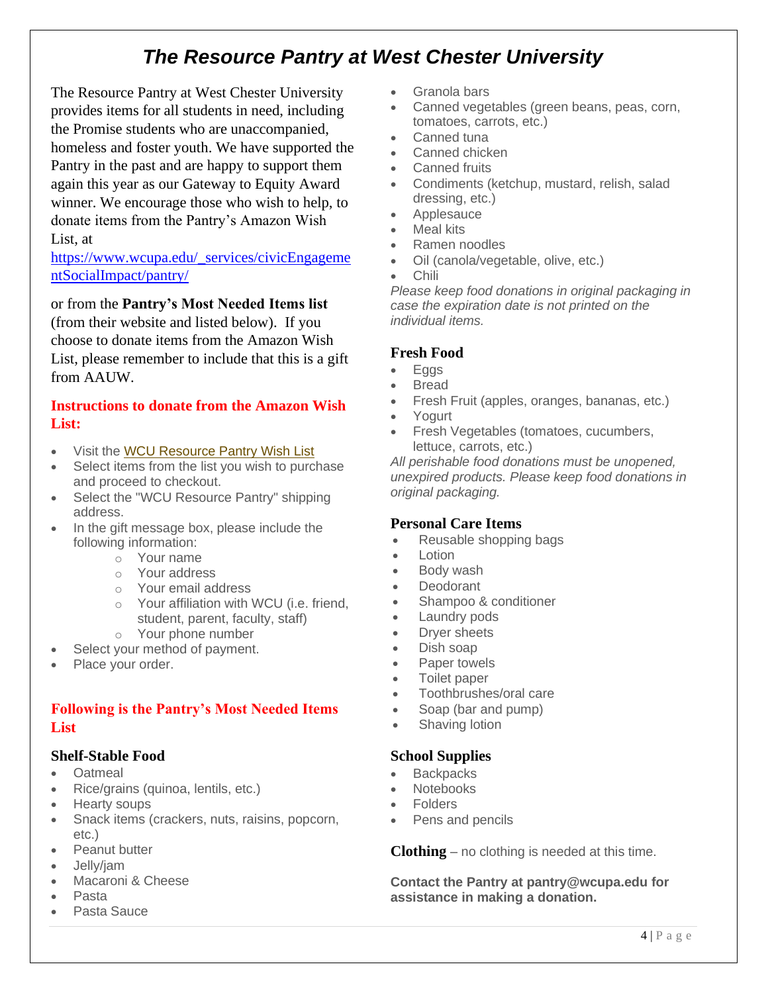# *The Resource Pantry at West Chester University*

The Resource Pantry at West Chester University provides items for all students in need, including the Promise students who are unaccompanied, homeless and foster youth. We have supported the Pantry in the past and are happy to support them again this year as our Gateway to Equity Award winner. We encourage those who wish to help, to donate items from the Pantry's Amazon Wish List, at

https://www.wcupa.edu/\_services/civicEngageme ntSocialImpact/pantry/

#### or from the **Pantry's Most Needed Items list**

(from their website and listed below). If you choose to donate items from the Amazon Wish List, please remember to include that this is a gift from AAUW.

#### **Instructions to donate from the Amazon Wish List:**

- Visit the WCU Resource Pantry Wish List
- Select items from the list you wish to purchase and proceed to checkout.
- Select the "WCU Resource Pantry" shipping address.
- In the gift message box, please include the following information:
	- o Your name
	- o Your address
	- o Your email address
	- o Your affiliation with WCU (i.e. friend, student, parent, faculty, staff)
	- o Your phone number
- Select your method of payment.
- Place your order.

#### **Following is the Pantry's Most Needed Items List**

#### **Shelf-Stable Food**

- Oatmeal
- Rice/grains (quinoa, lentils, etc.)
- Hearty soups
- Snack items (crackers, nuts, raisins, popcorn, etc.)
- Peanut butter
- Jelly/jam
- Macaroni & Cheese
- Pasta
- Pasta Sauce
- Granola bars
- Canned vegetables (green beans, peas, corn, tomatoes, carrots, etc.)
- Canned tuna
- Canned chicken
- Canned fruits
- Condiments (ketchup, mustard, relish, salad dressing, etc.)
- Applesauce
- Meal kits
- Ramen noodles
- Oil (canola/vegetable, olive, etc.)
- Chili

*Please keep food donations in original packaging in case the expiration date is not printed on the individual items.*

#### **Fresh Food**

- **Eggs**
- **Bread**
- Fresh Fruit (apples, oranges, bananas, etc.)
- Yogurt
- Fresh Vegetables (tomatoes, cucumbers, lettuce, carrots, etc.)

*All perishable food donations must be unopened, unexpired products. Please keep food donations in original packaging.*

#### **Personal Care Items**

- Reusable shopping bags
- Lotion
- Body wash
- Deodorant
- Shampoo & conditioner
- Laundry pods
- Dryer sheets
- Dish soap
- Paper towels
- Toilet paper
- Toothbrushes/oral care
- Soap (bar and pump)
- Shaving lotion

#### **School Supplies**

- **Backpacks**
- Notebooks
- Folders
- Pens and pencils

**Clothing** – no clothing is needed at this time.

**Contact the Pantry at pantry@wcupa.edu for assistance in making a donation.**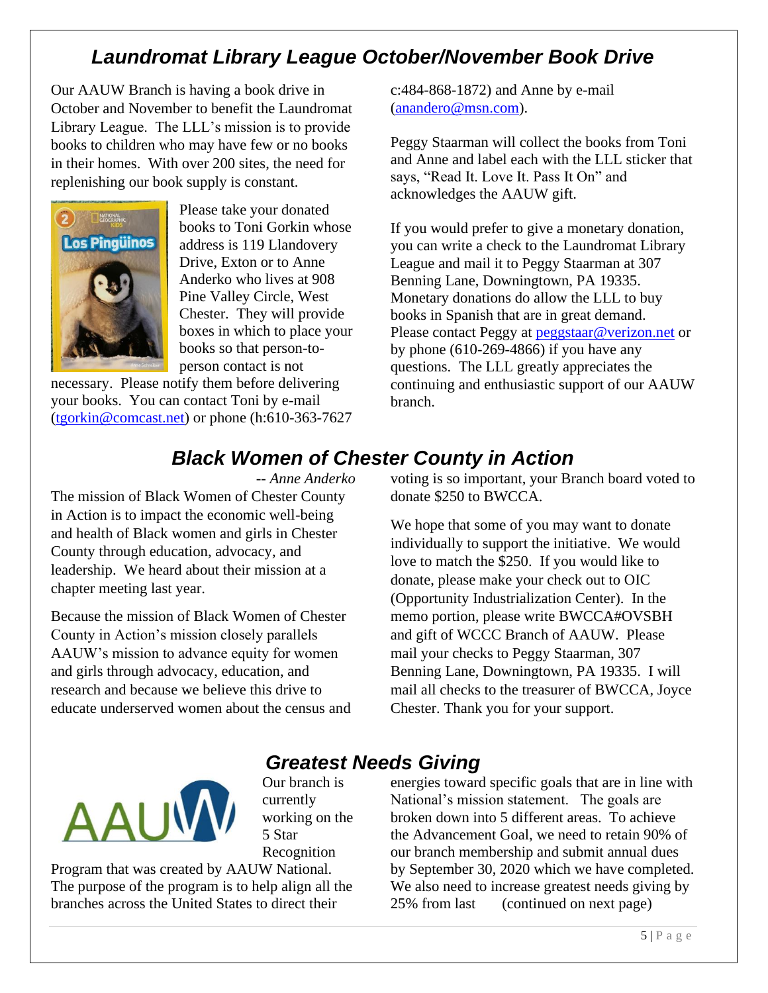# *Laundromat Library League October/November Book Drive*

Our AAUW Branch is having a book drive in October and November to benefit the Laundromat Library League. The LLL's mission is to provide books to children who may have few or no books in their homes. With over 200 sites, the need for replenishing our book supply is constant.



Please take your donated books to Toni Gorkin whose address is 119 Llandovery Drive, Exton or to Anne Anderko who lives at 908 Pine Valley Circle, West Chester. They will provide boxes in which to place your books so that person-toperson contact is not

necessary. Please notify them before delivering your books. You can contact Toni by e-mail (tgorkin@comcast.net) or phone (h:610-363-7627 c:484-868-1872) and Anne by e-mail (anandero@msn.com).

Peggy Staarman will collect the books from Toni and Anne and label each with the LLL sticker that says, "Read It. Love It. Pass It On" and acknowledges the AAUW gift.

If you would prefer to give a monetary donation, you can write a check to the Laundromat Library League and mail it to Peggy Staarman at 307 Benning Lane, Downingtown, PA 19335. Monetary donations do allow the LLL to buy books in Spanish that are in great demand. Please contact Peggy at peggstaar@verizon.net or by phone (610-269-4866) if you have any questions. The LLL greatly appreciates the continuing and enthusiastic support of our AAUW branch.

# *Black Women of Chester County in Action*

*-- Anne Anderko*

The mission of Black Women of Chester County in Action is to impact the economic well-being and health of Black women and girls in Chester County through education, advocacy, and leadership. We heard about their mission at a chapter meeting last year.

Because the mission of Black Women of Chester County in Action's mission closely parallels AAUW's mission to advance equity for women and girls through advocacy, education, and research and because we believe this drive to educate underserved women about the census and

voting is so important, your Branch board voted to donate \$250 to BWCCA.

We hope that some of you may want to donate individually to support the initiative. We would love to match the \$250. If you would like to donate, please make your check out to OIC (Opportunity Industrialization Center). In the memo portion, please write BWCCA#OVSBH and gift of WCCC Branch of AAUW. Please mail your checks to Peggy Staarman, 307 Benning Lane, Downingtown, PA 19335. I will mail all checks to the treasurer of BWCCA, Joyce Chester. Thank you for your support.



*Greatest Needs Giving* Our branch is currently working on the 5 Star Recognition

Program that was created by AAUW National. The purpose of the program is to help align all the branches across the United States to direct their

energies toward specific goals that are in line with National's mission statement. The goals are broken down into 5 different areas. To achieve the Advancement Goal, we need to retain 90% of our branch membership and submit annual dues by September 30, 2020 which we have completed. We also need to increase greatest needs giving by 25% from last (continued on next page)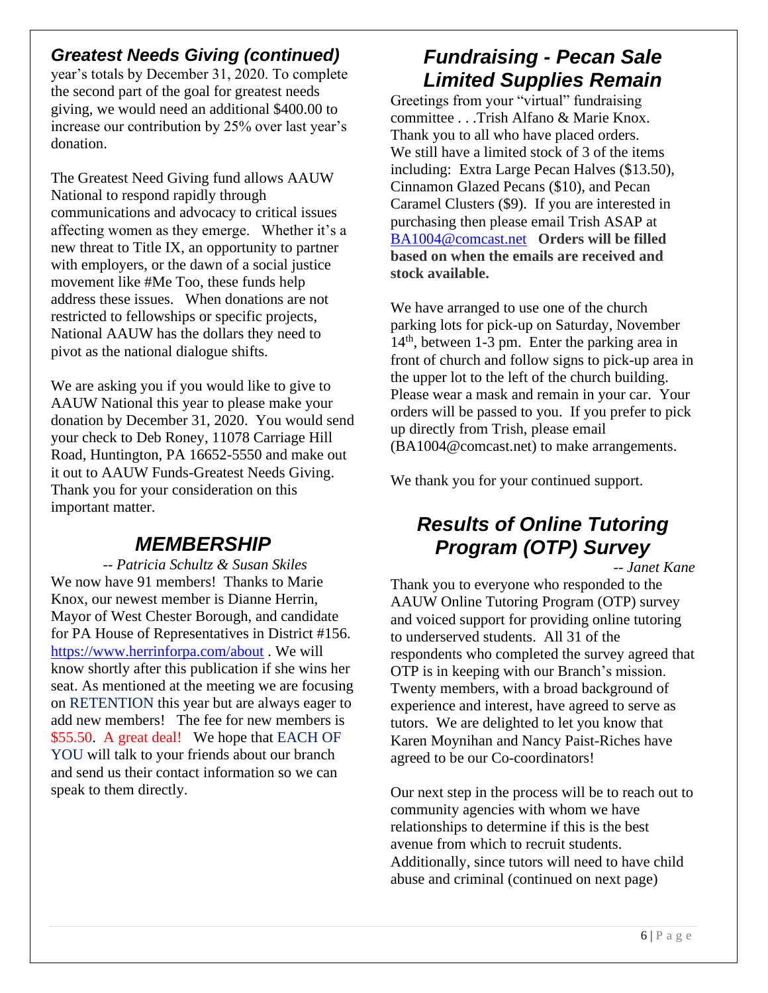## *Greatest Needs Giving (continued)*

year's totals by December 31, 2020. To complete the second part of the goal for greatest needs giving, we would need an additional \$400.00 to increase our contribution by 25% over last year's donation.

The Greatest Need Giving fund allows AAUW National to respond rapidly through communications and advocacy to critical issues affecting women as they emerge. Whether it's a new threat to Title IX, an opportunity to partner with employers, or the dawn of a social justice movement like #Me Too, these funds help address these issues. When donations are not restricted to fellowships or specific projects, National AAUW has the dollars they need to pivot as the national dialogue shifts.

We are asking you if you would like to give to AAUW National this year to please make your donation by December 31, 2020. You would send your check to Deb Roney, 11078 Carriage Hill Road, Huntington, PA 16652-5550 and make out it out to AAUW Funds-Greatest Needs Giving. Thank you for your consideration on this important matter.

## *MEMBERSHIP*

*-- Patricia Schultz & Susan Skiles* We now have 91 members! Thanks to Marie Knox, our newest member is Dianne Herrin, Mayor of West Chester Borough, and candidate for PA House of Representatives in District #156. https://www.herrinforpa.com/about . We will know shortly after this publication if she wins her seat. As mentioned at the meeting we are focusing on RETENTION this year but are always eager to add new members! The fee for new members is \$55.50. A great deal! We hope that EACH OF YOU will talk to your friends about our branch and send us their contact information so we can speak to them directly.

# *Fundraising - Pecan Sale Limited Supplies Remain*

Greetings from your "virtual" fundraising committee . . .Trish Alfano & Marie Knox. Thank you to all who have placed orders. We still have a limited stock of 3 of the items including: Extra Large Pecan Halves (\$13.50), Cinnamon Glazed Pecans (\$10), and Pecan Caramel Clusters (\$9). If you are interested in purchasing then please email Trish ASAP at BA1004@comcast.net **Orders will be filled based on when the emails are received and stock available.**

We have arranged to use one of the church parking lots for pick-up on Saturday, November 14th, between 1-3 pm. Enter the parking area in front of church and follow signs to pick-up area in the upper lot to the left of the church building. Please wear a mask and remain in your car. Your orders will be passed to you. If you prefer to pick up directly from Trish, please email (BA1004@comcast.net) to make arrangements.

We thank you for your continued support.

## *Results of Online Tutoring Program (OTP) Survey*

*-- Janet Kane*

Thank you to everyone who responded to the AAUW Online Tutoring Program (OTP) survey and voiced support for providing online tutoring to underserved students. All 31 of the respondents who completed the survey agreed that OTP is in keeping with our Branch's mission. Twenty members, with a broad background of experience and interest, have agreed to serve as tutors. We are delighted to let you know that Karen Moynihan and Nancy Paist-Riches have agreed to be our Co-coordinators!

Our next step in the process will be to reach out to community agencies with whom we have relationships to determine if this is the best avenue from which to recruit students. Additionally, since tutors will need to have child abuse and criminal (continued on next page)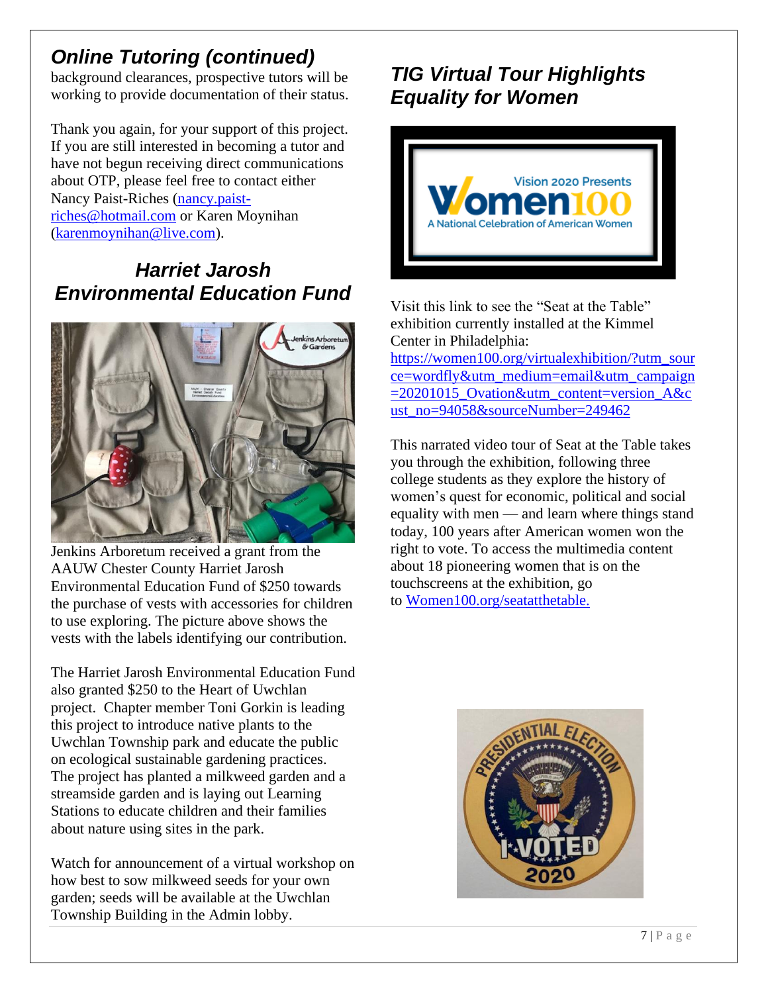# *Online Tutoring (continued)*

background clearances, prospective tutors will be working to provide documentation of their status.

Thank you again, for your support of this project. If you are still interested in becoming a tutor and have not begun receiving direct communications about OTP, please feel free to contact either Nancy Paist-Riches (nancy.paistriches@hotmail.com or Karen Moynihan (karenmoynihan@live.com).

# *Harriet Jarosh Environmental Education Fund*



Jenkins Arboretum received a grant from the AAUW Chester County Harriet Jarosh Environmental Education Fund of \$250 towards the purchase of vests with accessories for children to use exploring. The picture above shows the vests with the labels identifying our contribution.

The Harriet Jarosh Environmental Education Fund also granted \$250 to the Heart of Uwchlan project. Chapter member Toni Gorkin is leading this project to introduce native plants to the Uwchlan Township park and educate the public on ecological sustainable gardening practices. The project has planted a milkweed garden and a streamside garden and is laying out Learning Stations to educate children and their families about nature using sites in the park.

Watch for announcement of a virtual workshop on how best to sow milkweed seeds for your own garden; seeds will be available at the Uwchlan Township Building in the Admin lobby.

# *TIG Virtual Tour Highlights Equality for Women*



Visit this link to see the "Seat at the Table" exhibition currently installed at the Kimmel Center in Philadelphia: https://women100.org/virtualexhibition/?utm\_sour ce=wordfly&utm\_medium=email&utm\_campaign =20201015\_Ovation&utm\_content=version\_A&c ust\_no=94058&sourceNumber=249462

This narrated video tour of Seat at the Table takes you through the exhibition, following three college students as they explore the history of women's quest for economic, political and social equality with men — and learn where things stand today, 100 years after American women won the right to vote. To access the multimedia content about 18 pioneering women that is on the touchscreens at the exhibition, go to Women100.org/seatatthetable.

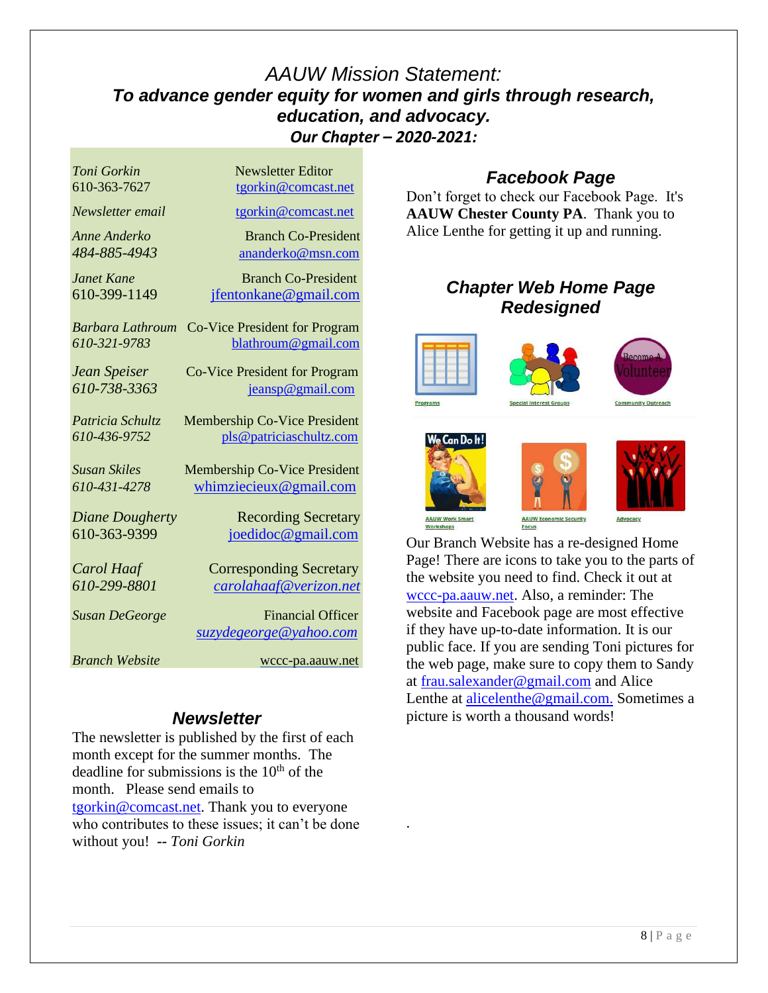## *AAUW Mission Statement: To advance gender equity for women and girls through research, education, and advocacy. Our Chapter – 2020-2021:*

| Toni Gorkin            | <b>Newsletter Editor</b>             |
|------------------------|--------------------------------------|
| 610-363-7627           | tgorkin@comcast.net                  |
| Newsletter email       | tgorkin@comcast.net                  |
| <b>Anne Anderko</b>    | <b>Branch Co-President</b>           |
| 484-885-4943           | ananderko@msn.com                    |
| Janet Kane             | <b>Branch Co-President</b>           |
| 610-399-1149           | jfentonkane@gmail.com                |
| Barbara Lathroum       | <b>Co-Vice President for Program</b> |
| 610-321-9783           | blathroum@gmail.com                  |
| Jean Speiser           | <b>Co-Vice President for Program</b> |
| 610-738-3363           | jeansp@gmail.com                     |
|                        |                                      |
| Patricia Schultz       | <b>Membership Co-Vice President</b>  |
| 610-436-9752           | pls@patriciaschultz.com              |
| <b>Susan Skiles</b>    | <b>Membership Co-Vice President</b>  |
| 610-431-4278           | whimziecieux@gmail.com               |
| <b>Diane Dougherty</b> | <b>Recording Secretary</b>           |
| 610-363-9399           | joedidoc@gmail.com                   |
|                        |                                      |
| Carol Haaf             | <b>Corresponding Secretary</b>       |
| 610-299-8801           | carolahaaf@verizon.net               |
| <b>Susan DeGeorge</b>  | <b>Financial Officer</b>             |
|                        | <u>suzydegeorge@yahoo.com</u>        |
| <b>Branch Website</b>  | wccc-pa.aauw.net                     |

### *Newsletter*

The newsletter is published by the first of each month except for the summer months. The deadline for submissions is the  $10<sup>th</sup>$  of the month. Please send emails to tgorkin@comcast.net. Thank you to everyone who contributes to these issues; it can't be done without you! *-- Toni Gorkin*

### *Facebook Page*

Don't forget to check our Facebook Page. It's **AAUW Chester County PA**. Thank you to Alice Lenthe for getting it up and running.

### *Chapter Web Home Page Redesigned*













.

Our Branch Website has a re-designed Home Page! There are icons to take you to the parts of the website you need to find. Check it out at wccc-pa.aauw.net. Also, a reminder: The website and Facebook page are most effective if they have up-to-date information. It is our public face. If you are sending Toni pictures for the web page, make sure to copy them to Sandy at frau.salexander@gmail.com and Alice Lenthe at alicelenthe@gmail.com. Sometimes a picture is worth a thousand words!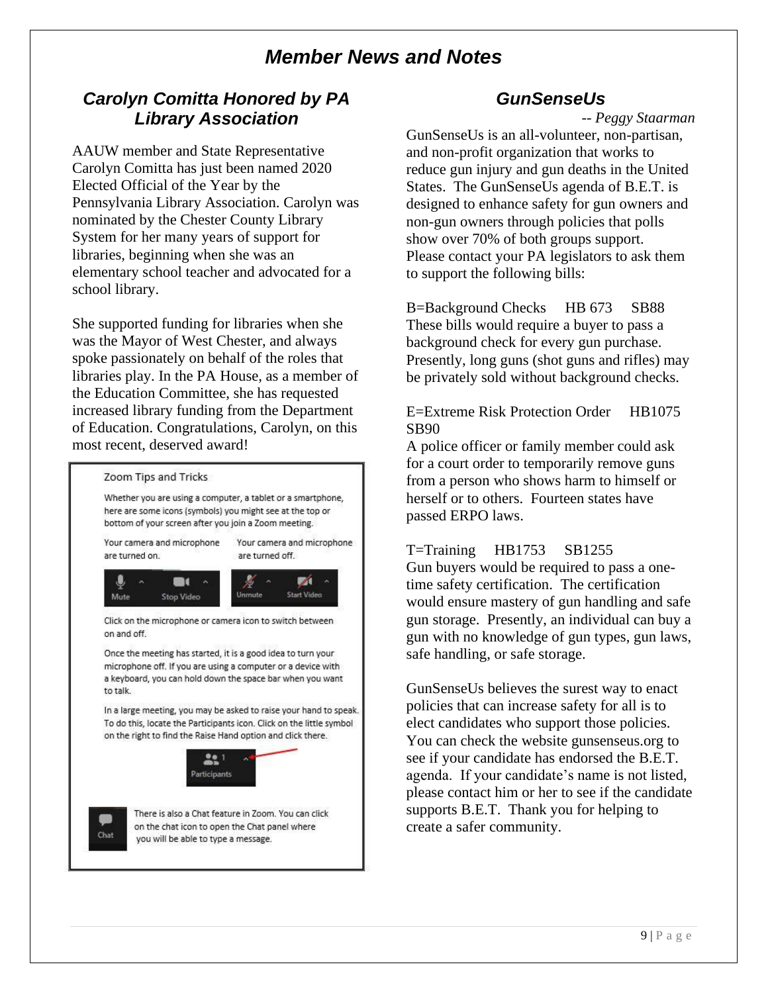## *Member News and Notes*

## *Carolyn Comitta Honored by PA Library Association*

AAUW member and State Representative Carolyn Comitta has just been named 2020 Elected Official of the Year by the Pennsylvania Library Association. Carolyn was nominated by the Chester County Library System for her many years of support for libraries, beginning when she was an elementary school teacher and advocated for a school library.

She supported funding for libraries when she was the Mayor of West Chester, and always spoke passionately on behalf of the roles that libraries play. In the PA House, as a member of the Education Committee, she has requested increased library funding from the Department of Education. Congratulations, Carolyn, on this most recent, deserved award!



### *GunSenseUs*

*-- Peggy Staarman*

GunSenseUs is an all-volunteer, non-partisan, and non-profit organization that works to reduce gun injury and gun deaths in the United States. The GunSenseUs agenda of B.E.T. is designed to enhance safety for gun owners and non-gun owners through policies that polls show over 70% of both groups support. Please contact your PA legislators to ask them to support the following bills:

B=Background Checks HB 673 SB88 These bills would require a buyer to pass a background check for every gun purchase. Presently, long guns (shot guns and rifles) may be privately sold without background checks.

#### E=Extreme Risk Protection Order HB1075 SB90

A police officer or family member could ask for a court order to temporarily remove guns from a person who shows harm to himself or herself or to others. Fourteen states have passed ERPO laws.

#### T=Training HB1753 SB1255

Gun buyers would be required to pass a onetime safety certification. The certification would ensure mastery of gun handling and safe gun storage. Presently, an individual can buy a gun with no knowledge of gun types, gun laws, safe handling, or safe storage.

GunSenseUs believes the surest way to enact policies that can increase safety for all is to elect candidates who support those policies. You can check the website gunsenseus.org to see if your candidate has endorsed the B.E.T. agenda. If your candidate's name is not listed, please contact him or her to see if the candidate supports B.E.T. Thank you for helping to create a safer community.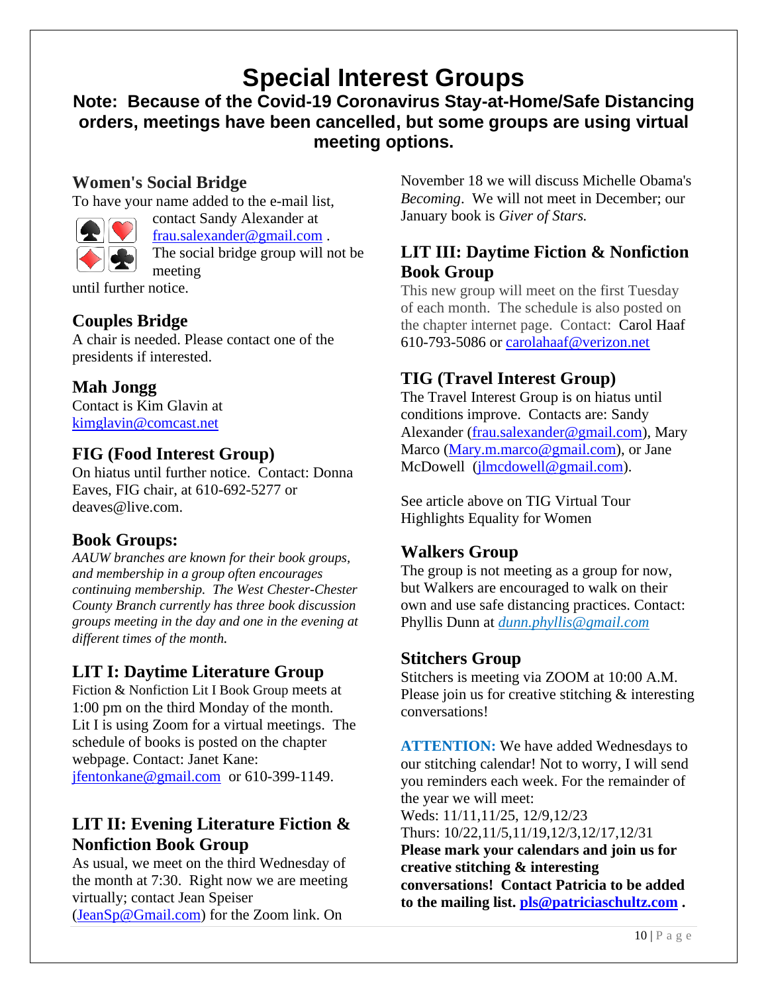# **Special Interest Groups**

**Note: Because of the Covid-19 Coronavirus Stay-at-Home/Safe Distancing orders, meetings have been cancelled, but some groups are using virtual meeting options.** 

#### **Women's Social Bridge**

To have your name added to the e-mail list,



contact Sandy Alexander at frau.salexander@gmail.com . The social bridge group will not be meeting

until further notice.

#### **Couples Bridge**

A chair is needed. Please contact one of the presidents if interested.

### **Mah Jongg**

Contact is Kim Glavin at kimglavin@comcast.net

### **FIG (Food Interest Group)**

On hiatus until further notice. Contact: Donna Eaves, FIG chair, at 610-692-5277 or deaves@live.com.

### **Book Groups:**

*AAUW branches are known for their book groups, and membership in a group often encourages continuing membership. The West Chester-Chester County Branch currently has three book discussion groups meeting in the day and one in the evening at different times of the month.* 

### **LIT I: Daytime Literature Group**

Fiction & Nonfiction Lit I Book Group meets at 1:00 pm on the third Monday of the month. Lit I is using Zoom for a virtual meetings. The schedule of books is posted on the chapter webpage. Contact: Janet Kane: jfentonkane@gmail.com or 610-399-1149.

### **LIT II: Evening Literature Fiction & Nonfiction Book Group**

As usual, we meet on the third Wednesday of the month at 7:30. Right now we are meeting virtually; contact Jean Speiser (JeanSp@Gmail.com) for the Zoom link. On

November 18 we will discuss Michelle Obama's *Becoming*. We will not meet in December; our January book is *Giver of Stars.*

### **LIT III: Daytime Fiction & Nonfiction Book Group**

This new group will meet on the first Tuesday of each month. The schedule is also posted on the chapter internet page. Contact: Carol Haaf 610-793-5086 or carolahaaf@verizon.net

### **TIG (Travel Interest Group)**

The Travel Interest Group is on hiatus until conditions improve. Contacts are: Sandy Alexander (frau.salexander@gmail.com), Mary Marco (Mary.m.marco@gmail.com), or Jane McDowell (jlmcdowell@gmail.com).

See article above on TIG Virtual Tour Highlights Equality for Women

### **Walkers Group**

The group is not meeting as a group for now, but Walkers are encouraged to walk on their own and use safe distancing practices. Contact: Phyllis Dunn at *dunn.phyllis@gmail.com*

#### **Stitchers Group**

Stitchers is meeting via ZOOM at 10:00 A.M. Please join us for creative stitching & interesting conversations!

**ATTENTION:** We have added Wednesdays to our stitching calendar! Not to worry, I will send you reminders each week. For the remainder of the year we will meet:

Weds: 11/11,11/25, 12/9,12/23 Thurs: 10/22,11/5,11/19,12/3,12/17,12/31 **Please mark your calendars and join us for creative stitching & interesting conversations! Contact Patricia to be added to the mailing list. pls@patriciaschultz.com .**